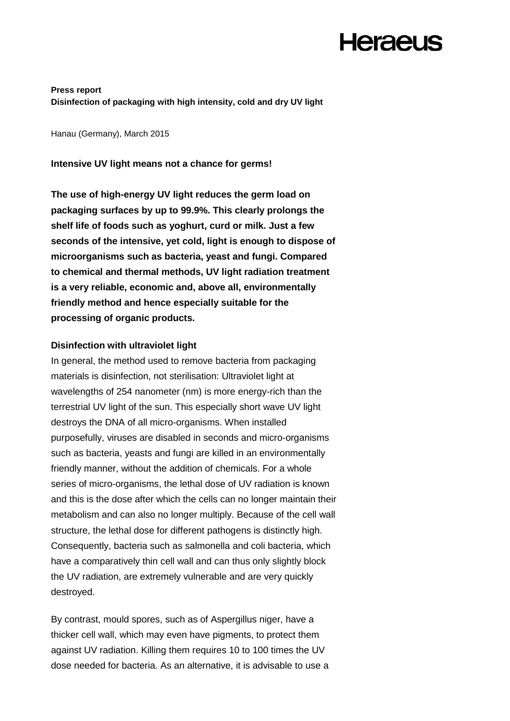**Press report Disinfection of packaging with high intensity, cold and dry UV light**

Hanau (Germany), March 2015

**Intensive UV light means not a chance for germs!** 

**The use of high-energy UV light reduces the germ load on packaging surfaces by up to 99.9%. This clearly prolongs the shelf life of foods such as yoghurt, curd or milk. Just a few seconds of the intensive, yet cold, light is enough to dispose of microorganisms such as bacteria, yeast and fungi. Compared to chemical and thermal methods, UV light radiation treatment is a very reliable, economic and, above all, environmentally friendly method and hence especially suitable for the processing of organic products.**

### **Disinfection with ultraviolet light**

In general, the method used to remove bacteria from packaging materials is disinfection, not sterilisation: Ultraviolet light at wavelengths of 254 nanometer (nm) is more energy-rich than the terrestrial UV light of the sun. This especially short wave UV light destroys the DNA of all micro-organisms. When installed purposefully, viruses are disabled in seconds and micro-organisms such as bacteria, yeasts and fungi are killed in an environmentally friendly manner, without the addition of chemicals. For a whole series of micro-organisms, the lethal dose of UV radiation is known and this is the dose after which the cells can no longer maintain their metabolism and can also no longer multiply. Because of the cell wall structure, the lethal dose for different pathogens is distinctly high. Consequently, bacteria such as salmonella and coli bacteria, which have a comparatively thin cell wall and can thus only slightly block the UV radiation, are extremely vulnerable and are very quickly destroyed.

By contrast, mould spores, such as of Aspergillus niger, have a thicker cell wall, which may even have pigments, to protect them against UV radiation. Killing them requires 10 to 100 times the UV dose needed for bacteria. As an alternative, it is advisable to use a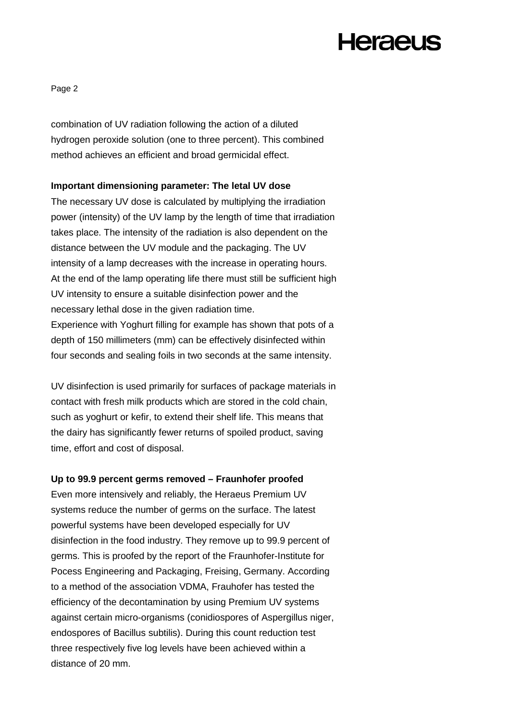Page 2

combination of UV radiation following the action of a diluted hydrogen peroxide solution (one to three percent). This combined method achieves an efficient and broad germicidal effect.

### **Important dimensioning parameter: The letal UV dose**

The necessary UV dose is calculated by multiplying the irradiation power (intensity) of the UV lamp by the length of time that irradiation takes place. The intensity of the radiation is also dependent on the distance between the UV module and the packaging. The UV intensity of a lamp decreases with the increase in operating hours. At the end of the lamp operating life there must still be sufficient high UV intensity to ensure a suitable disinfection power and the necessary lethal dose in the given radiation time. Experience with Yoghurt filling for example has shown that pots of a

depth of 150 millimeters (mm) can be effectively disinfected within four seconds and sealing foils in two seconds at the same intensity.

UV disinfection is used primarily for surfaces of package materials in contact with fresh milk products which are stored in the cold chain, such as yoghurt or kefir, to extend their shelf life. This means that the dairy has significantly fewer returns of spoiled product, saving time, effort and cost of disposal.

### **Up to 99.9 percent germs removed – Fraunhofer proofed**

Even more intensively and reliably, the Heraeus Premium UV systems reduce the number of germs on the surface. The latest powerful systems have been developed especially for UV disinfection in the food industry. They remove up to 99.9 percent of germs. This is proofed by the report of the Fraunhofer-Institute for Pocess Engineering and Packaging, Freising, Germany. According to a method of the association VDMA, Frauhofer has tested the efficiency of the decontamination by using Premium UV systems against certain micro-organisms (conidiospores of Aspergillus niger, endospores of Bacillus subtilis). During this count reduction test three respectively five log levels have been achieved within a distance of 20 mm.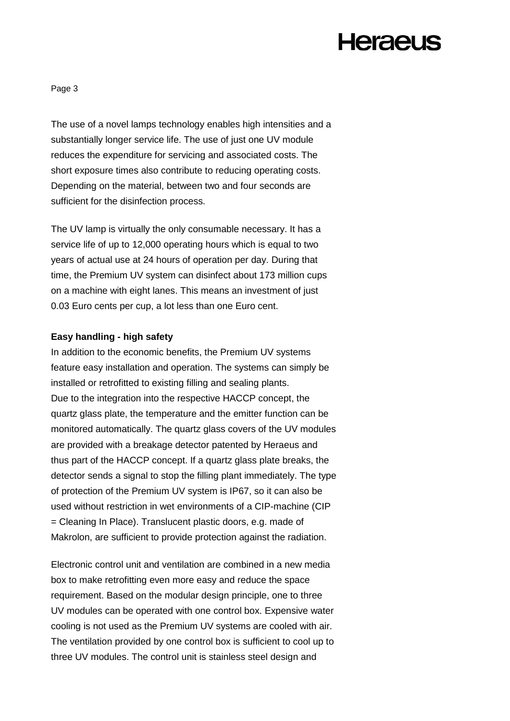Page 3

The use of a novel lamps technology enables high intensities and a substantially longer service life. The use of just one UV module reduces the expenditure for servicing and associated costs. The short exposure times also contribute to reducing operating costs. Depending on the material, between two and four seconds are sufficient for the disinfection process.

The UV lamp is virtually the only consumable necessary. It has a service life of up to 12,000 operating hours which is equal to two years of actual use at 24 hours of operation per day. During that time, the Premium UV system can disinfect about 173 million cups on a machine with eight lanes. This means an investment of just 0.03 Euro cents per cup, a lot less than one Euro cent.

### **Easy handling - high safety**

In addition to the economic benefits, the Premium UV systems feature easy installation and operation. The systems can simply be installed or retrofitted to existing filling and sealing plants. Due to the integration into the respective HACCP concept, the quartz glass plate, the temperature and the emitter function can be monitored automatically. The quartz glass covers of the UV modules are provided with a breakage detector patented by Heraeus and thus part of the HACCP concept. If a quartz glass plate breaks, the detector sends a signal to stop the filling plant immediately. The type of protection of the Premium UV system is IP67, so it can also be used without restriction in wet environments of a CIP-machine (CIP = Cleaning In Place). Translucent plastic doors, e.g. made of Makrolon, are sufficient to provide protection against the radiation.

Electronic control unit and ventilation are combined in a new media box to make retrofitting even more easy and reduce the space requirement. Based on the modular design principle, one to three UV modules can be operated with one control box. Expensive water cooling is not used as the Premium UV systems are cooled with air. The ventilation provided by one control box is sufficient to cool up to three UV modules. The control unit is stainless steel design and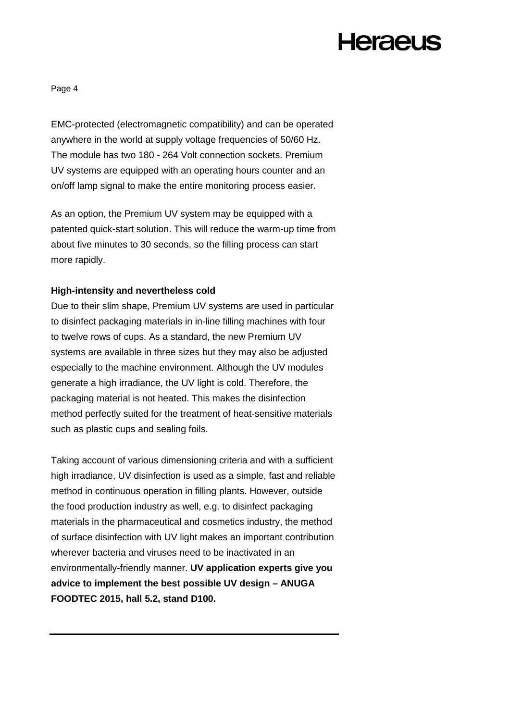Page 4

EMC-protected (electromagnetic compatibility) and can be operated anywhere in the world at supply voltage frequencies of 50/60 Hz. The module has two 180 - 264 Volt connection sockets. Premium UV systems are equipped with an operating hours counter and an on/off lamp signal to make the entire monitoring process easier.

As an option, the Premium UV system may be equipped with a patented quick-start solution. This will reduce the warm-up time from about five minutes to 30 seconds, so the filling process can start more rapidly.

### **High-intensity and nevertheless cold**

Due to their slim shape, Premium UV systems are used in particular to disinfect packaging materials in in-line filling machines with four to twelve rows of cups. As a standard, the new Premium UV systems are available in three sizes but they may also be adjusted especially to the machine environment. Although the UV modules generate a high irradiance, the UV light is cold. Therefore, the packaging material is not heated. This makes the disinfection method perfectly suited for the treatment of heat-sensitive materials such as plastic cups and sealing foils.

Taking account of various dimensioning criteria and with a sufficient high irradiance, UV disinfection is used as a simple, fast and reliable method in continuous operation in filling plants. However, outside the food production industry as well, e.g. to disinfect packaging materials in the pharmaceutical and cosmetics industry, the method of surface disinfection with UV light makes an important contribution wherever bacteria and viruses need to be inactivated in an environmentally-friendly manner. **UV application experts give you advice to implement the best possible UV design – ANUGA FOODTEC 2015, hall 5.2, stand D100.**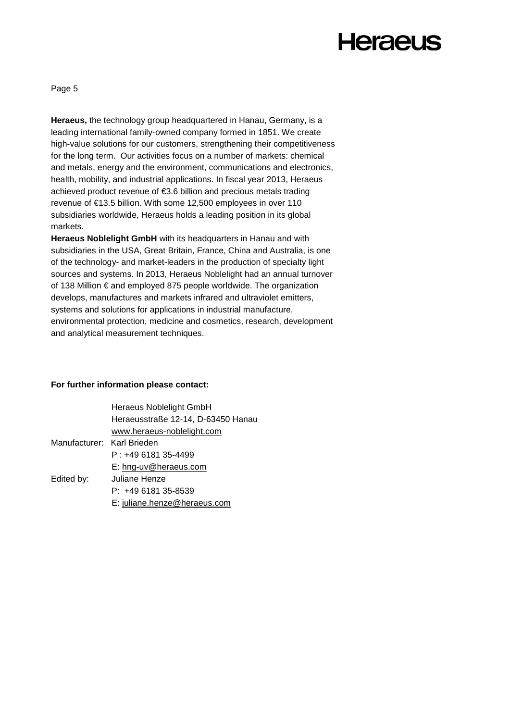# **Heraeus**

Page 5

**Heraeus,** the technology group headquartered in Hanau, Germany, is a leading international family-owned company formed in 1851. We create high-value solutions for our customers, strengthening their competitiveness for the long term. Our activities focus on a number of markets: chemical and metals, energy and the environment, communications and electronics, health, mobility, and industrial applications. In fiscal year 2013, Heraeus achieved product revenue of €3.6 billion and precious metals trading revenue of €13.5 billion. With some 12,500 employees in over 110 subsidiaries worldwide, Heraeus holds a leading position in its global markets.

**Heraeus Noblelight GmbH** with its headquarters in Hanau and with subsidiaries in the USA, Great Britain, France, China and Australia, is one of the technology- and market-leaders in the production of specialty light sources and systems. In 2013, Heraeus Noblelight had an annual turnover of 138 Million € and employed 875 people worldwide. The organization develops, manufactures and markets infrared and ultraviolet emitters, systems and solutions for applications in industrial manufacture, environmental protection, medicine and cosmetics, research, development and analytical measurement techniques.

#### **For further information please contact:**

|                            | Heraeus Noblelight GmbH            |
|----------------------------|------------------------------------|
|                            | Heraeusstraße 12-14, D-63450 Hanau |
|                            | www.heraeus-noblelight.com         |
| Manufacturer: Karl Brieden |                                    |
|                            | $P: +49618135-4499$                |
|                            | E: hng-uv@heraeus.com              |
| Edited by:                 | Juliane Henze                      |
|                            | P: +49 6181 35-8539                |
|                            | E: juliane.henze@heraeus.com       |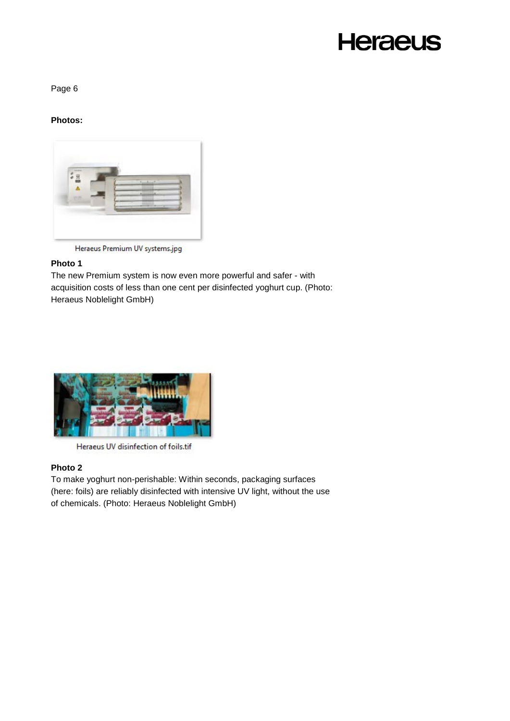# **Heraeus**

Page 6

### **Photos:**



Heraeus Premium UV systems.jpg

### **Photo 1**

The new Premium system is now even more powerful and safer - with acquisition costs of less than one cent per disinfected yoghurt cup. (Photo: Heraeus Noblelight GmbH)



Heraeus UV disinfection of foils.tif

### **Photo 2**

To make yoghurt non-perishable: Within seconds, packaging surfaces (here: foils) are reliably disinfected with intensive UV light, without the use of chemicals. (Photo: Heraeus Noblelight GmbH)